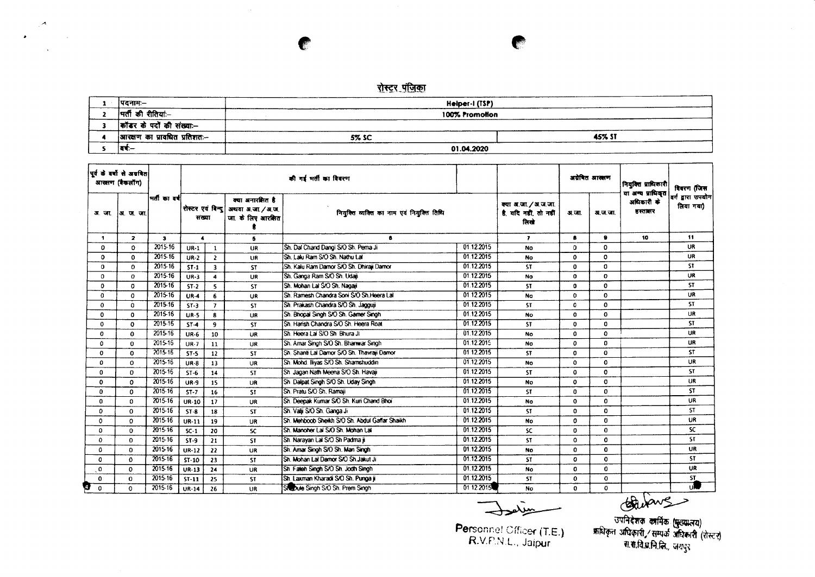## रोस्टर पंजिका

 $\mathcal{A}^{\mathcal{A}}$ 

**TEST** 

 $\mathcal{A}$ 

 $\sim$ 

 $\sim 10^{11}$ 

 $\bullet$ 

| पदनामः–                       | Helper-I (TSP) |               |
|-------------------------------|----------------|---------------|
| भर्ती की रीतियां:--           | 100% Promotion |               |
| कॉडर के पदों की संख्या:--     |                |               |
| आरक्षण का प्रावधित प्रतिशतः-- | 5% SC          | <b>45% ST</b> |
| বৰ:—                          | 01.04.2020     |               |

| पूर्व के वर्षों से अववित<br>आखाण (बैकलॉंग) |                |              |                            |                |                                                            | की गई मती का विवरण                             |            |                                                     |              | अयेबित आसाण | नियुक्ति प्राधिकारी<br>या अन्य प्राधिकृत | विवरण (जिस                      |
|--------------------------------------------|----------------|--------------|----------------------------|----------------|------------------------------------------------------------|------------------------------------------------|------------|-----------------------------------------------------|--------------|-------------|------------------------------------------|---------------------------------|
| अया                                        | ∣अाज जा        | मर्तीका वर्ष | रोस्टर एवं विन्द <br>सख्या |                | क्या अनारशित है<br>अथवा अ.जा. / अ.ज.<br>जा. के लिए आरक्षित | नियुक्ति व्यक्ति का नाम एवं नियुक्ति तिथि      |            | क्या अ.जा./अ.ज.जा.<br>है. यदि नहीं, तो नहीं<br>तिखे | अ.जा.        | अ.ज.जा.     | अधिकारी के<br>हरतातर                     | वर्ग द्वारा उपयोग <br>लिया गया) |
| 1.                                         | $\overline{2}$ | $\mathbf{3}$ |                            |                | 5                                                          | 6                                              |            | $\overline{\phantom{a}}$                            | 8            | ۰           | 10                                       | 11                              |
| 0                                          | $\mathbf{o}$   | 2015-16      | $UR-1$                     | $\mathbf{1}$   | UR                                                         | Sh. Dal Chand Dangi S/O Sh. Perna Ji           | 01.12.2015 | <b>No</b>                                           | 0            | o           |                                          | <b>UR</b>                       |
| 0                                          | 0              | 2015-16      | $UR-2$                     | $\overline{2}$ | UR                                                         | Sh. Laki Ram S/O Sh. Nathu Lat                 | 01.12.2015 | <b>No</b>                                           | 0            | ٥           |                                          | <b>UR</b>                       |
| $\Omega$                                   | $\Omega$       | 2015-16      | $ST-1$                     | $\overline{3}$ | <b>ST</b>                                                  | Sh. Kalu Ram Damor S/O Sh. Dhiraii Damor       | 01.12.2015 | <b>ST</b>                                           | $\mathbf o$  | 0           |                                          | ST.                             |
| 0                                          | $\Omega$       | 2015-16      | $UR-3$                     | $\Delta$       | UR                                                         | Sh. Ganga Ram S/O Sh. Udali                    | 01.12.2015 | <b>No</b>                                           | $\mathbf{o}$ | 0           |                                          | UR                              |
| 0                                          | $\mathbf 0$    | 2015-16      | $ST-2$                     | 5              | <b>ST</b>                                                  | Sh. Mohan Lal S/O Sh. Nagaji                   | 01.12.2015 | <b>ST</b>                                           | $\mathbf{0}$ | 0           |                                          | ST.                             |
| 0                                          | $\Omega$       | 2015-16      | <b>UR-4</b>                | 6              | <b>UR</b>                                                  | Sh. Ramesh Chandra Soni S/O Sh. Heera Lal      | 01.12.2015 | No                                                  | $\mathbf{0}$ | 0           |                                          | <b>UR</b>                       |
| 0                                          | 0              | 2015-16      | $ST-3$                     | $\overline{7}$ | <b>ST</b>                                                  | Sh. Prakash Chandra S/O Sh. Jagguji            | 01.12.2015 | <b>ST</b>                                           | $\mathbf{C}$ | 0           |                                          | ST.                             |
| 0                                          | 0              | 2015-16      | $UR-5$                     | $\bf{8}$       | <b>UR</b>                                                  | Sh. Bhopal Singh S/O Sh. Gamer Singh           | 01.12.2015 | <b>No</b>                                           | $\mathbf{o}$ | 0           |                                          | <b>UR</b>                       |
| 0                                          | $\mathbf{0}$   | 2015-16      | $ST-4$                     | 9              | <b>ST</b>                                                  | Sh. Harish Chandra S/O Sh. Heera Roat          | 01.12.2015 | <b>ST</b>                                           | $\mathbf 0$  | 0           |                                          | ST.                             |
| 0                                          | 0              | 2015-16      | <b>UR-6</b>                | 10             | UR                                                         | Sh. Heera Lal S/O Sh. Bhura Ji                 | 01.12.2015 | <b>No</b>                                           | $\mathbf 0$  | 0           |                                          | UR                              |
| 0                                          | $\Omega$       | 2015-16      | $UR-7$                     | 11             | <b>UR</b>                                                  | Sh. Amar Singh S/O Sh. Bhanwar Singh           | 01.12.2015 | <b>No</b>                                           | $\mathbf 0$  | $\Omega$    |                                          | <b>UR</b>                       |
| $\Omega$                                   | $\Omega$       | 2015-16      | $ST-S$                     | 12             | ST.                                                        | Sh. Shanti Lal Damor S/O Sh. Thavrail Damor    | 01.12.2015 | <b>ST</b>                                           | 0            | 0           |                                          | <b>ST</b>                       |
| 0                                          | $\Omega$       | 2015-16      | $UR - 8$                   | 13             | UR                                                         | Sh. Mohd. Iliyas S/O Sh. Shamshuddin           | 01.12.2015 | <b>No</b>                                           | $\mathbf 0$  | 0           |                                          | <b>UR</b>                       |
| $\bf{0}$                                   | $\Omega$       | 2015-16      | $ST-6$                     | 14             | <b>ST</b>                                                  | Sh Jagan Nath Meena S/O Sh. Havaji             | 01.12.2015 | <b>ST</b>                                           | $\mathbf 0$  | 0           |                                          | <b>ST</b>                       |
| $\Omega$                                   | $\mathbf 0$    | 2015-16      | <b>UR-9</b>                | 15             | UR                                                         | Sh. Dalpat Singh S/O Sh. Uday Singh            | 01.12.2015 | No                                                  | $\mathbf 0$  | 0           |                                          | UR.                             |
| $\Omega$                                   | $\Omega$       | 2015-16      | $ST - 7$                   | 16             | <b>ST</b>                                                  | Sh. Pratu S/O Sh. Ramaii                       | 01.12.2015 | <b>ST</b>                                           | $\mathbf 0$  | $\Omega$    |                                          | <b>ST</b>                       |
| $\mathbf{0}$                               | $\Omega$       | 2015-16      | <b>UR-10</b>               | 17             | UR                                                         | Sh. Deepak Kumar S/O Sh. Kuri Chand Bhoi       | 01.12.2015 | No                                                  | $\Omega$     | 0           |                                          | UR                              |
| 0                                          | $\Omega$       | $2015 - 16$  | $ST-8$                     | 18             | <b>ST</b>                                                  | Sh. Valji S/O Sh. Ganga Ji                     | 01.12.2015 | ST.                                                 | $\mathbf 0$  | 0           |                                          | <b>ST</b>                       |
| 0                                          | $\Omega$       | 2015-16      | <b>UR-11</b>               | 19             | UR                                                         | Sh. Mehboob Sheikh S/O Sh. Abdul Gaffar Shaikh | 01.12.2015 | No                                                  | 0            | $\Omega$    |                                          | UR                              |
| 0                                          | $\Omega$       | 2015-16      | $SC-1$                     | 20             | SC.                                                        | Sh. Manoher Lal S/O Sh. Mohan Lal              | 01.12.2015 | <b>SC</b>                                           | 0            | $\Omega$    |                                          | SC.                             |
| 0                                          | $\Omega$       | 2015-16      | <b>ST-9</b>                | 21             | <b>ST</b>                                                  | Sh. Narayan Lal S/O Sh Padma ji                | 01.12.2015 | <b>ST</b>                                           | $\Omega$     | 0           |                                          | <b>ST</b>                       |
| 0                                          | $\Omega$       | 2015-16      | UR-12                      | 22             | <b>UR</b>                                                  | Sh. Amar Singh S/O Sh. Man Singh               | 01.12.2015 | No.                                                 | $\mathbf 0$  | 0           |                                          | UR.                             |
| 0                                          | $\mathbf 0$    | 2015-16      | $ST-10$                    | 23             | <b>ST</b>                                                  | Sh. Mohan Lat Damor S/O Sh. Jakut Ji           | 01.12.2015 | <b>ST</b>                                           | 0            | 0           |                                          | <b>ST</b>                       |
| 0                                          | $\mathbf{o}$   | 2015-16      | UR-13                      | 24             | <b>UR</b>                                                  | Sh. Faleh Singh S/O Sh. Jodh Singh             | 01.12.2015 | <b>No</b>                                           | 0            | 0           |                                          | UR                              |
| $\mathbf 0$                                | O              | 2015-16      | $ST-11$                    | 25             | <b>ST</b>                                                  | İSh. Laxman Kharadi S/O Sh. Punga ii           | 01.12.2015 | ST.                                                 | $\mathbf 0$  | $\mathbf 0$ |                                          | <b>ST</b>                       |
| 87<br>$\Omega$                             | 0              | 2015-16      | <b>UR-14</b>               | 26             | <b>UR</b>                                                  | She Dute Singh S/O Sh. Prem Singh              | 01 12 2015 | <b>No</b>                                           | 0            | 0           |                                          | ū.                              |

**TERR** 

Personne! Cfficer (T.E.) R.V.P.N.L., Jaipur

Exercise of the Community of the Community of the Community of the Community of the Community of the Community of the Community of the Community of the Community of the Community of the Community of the Community of the Co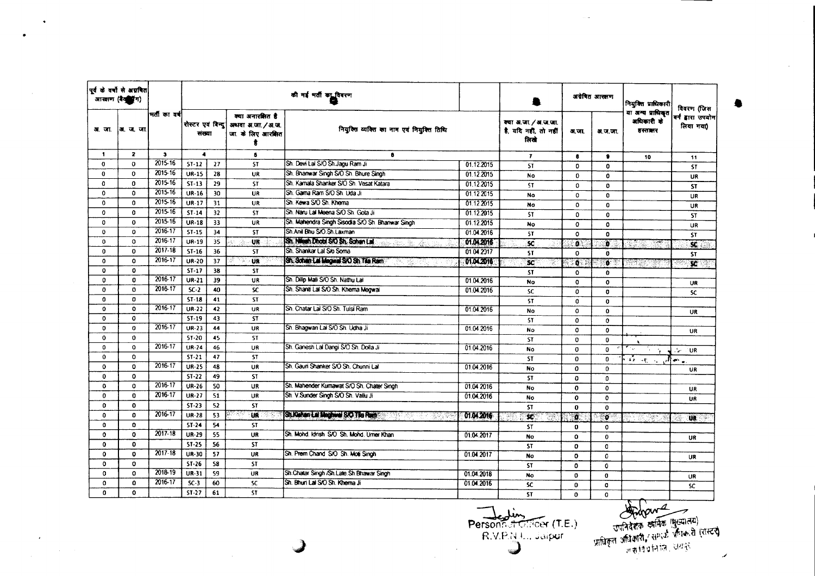|              | पूर्व के वर्षों से अग्रवित<br>आरतण (वैद्यानि) |              |                             |    | की गई भर्ती का विवरण                                       |                                                                          |            |                                                       |               |              |                                            | अग्रेषित आरक्षण              | नियुक्ति प्राधिकारी | विवरण (जिस |
|--------------|-----------------------------------------------|--------------|-----------------------------|----|------------------------------------------------------------|--------------------------------------------------------------------------|------------|-------------------------------------------------------|---------------|--------------|--------------------------------------------|------------------------------|---------------------|------------|
| अ. जा.       | . ज. जा                                       | ।मतीका वर्ष  | रोस्टर एवं विन्द <br>संख्या |    | क्या अनारसित है<br>अथवा अ.जा. / अ.ज.<br>जा. के लिए आरक्षित | नियुक्ति व्यक्ति का नाम एवं नियुक्ति तिथि                                |            | क्या अ.जा. / अ.ज.जा.<br>है, यदि नहीं, तो नहीं<br>लिखे | अ.जा.         | अ.ज.जा.      | या अन्य प्राधिकृत<br>अधिकारी के<br>डस्तबार | वर्ग ढारा उपयोग<br>लिया गया) |                     |            |
| $\mathbf{1}$ | $\overline{2}$                                | $\mathbf{3}$ | $\blacktriangleleft$        |    | $\mathbf{s}$                                               | 8                                                                        |            | $\mathbf{r}$                                          |               | $\bullet$    | 10                                         | 11                           |                     |            |
| 0            | $\mathbf 0$                                   | 2015-16      | $5T-12$                     | 27 | <b>ST</b>                                                  | Sh. Devi Lal S/O Sh. Jagu Ram Ji                                         | 01.12.2015 | <b>ST</b>                                             | $\Omega$      | $\mathbf 0$  |                                            | <b>ST</b>                    |                     |            |
| $\bf{0}$     | $\mathbf 0$                                   | 2015-16      | <b>UR-15</b>                | 28 | UR                                                         | Sh. Bhanwar Singh S/O Sh. Bhure Singh                                    | 01.12.2015 | No                                                    | 0             | 0            |                                            | <b>UR</b>                    |                     |            |
| $\mathbf{0}$ | $\mathbf{o}$                                  | 2015-16      | $ST-13$                     | 29 | <b>ST</b>                                                  | Sh. Kamala Shanker S/O Sh. Vesat Katara                                  | 01.12.2015 | <b>ST</b>                                             | 0             | $\mathbf{0}$ |                                            | <b>ST</b>                    |                     |            |
| $\Omega$     | 0                                             | 2015-16      | UR-16                       | 30 | <b>UR</b>                                                  | Sh. Gama Ram S/O Sh. Uda Ji                                              | 01.12.2015 | <b>No</b>                                             | $\Omega$      | $\mathbf 0$  |                                            | <b>UR</b>                    |                     |            |
| 0            | $\Omega$                                      | 2015-16      | <b>UR-17</b>                | 31 | UR                                                         | Sh. Kewa S/O Sh. Khema                                                   | 01.12.2015 | No                                                    | $\mathbf{o}$  | $\mathbf 0$  |                                            | UR                           |                     |            |
| $\Omega$     | $\Omega$                                      | 2015-16      | $ST-14$                     | 32 | <b>ST</b>                                                  | Sh. Naru Lal Meena S/O Sh. Gota Ji                                       | 01.12.2015 | <b>ST</b>                                             | 0             | $\Omega$     |                                            | <b>ST</b>                    |                     |            |
| $\mathbf{0}$ | $\mathbf{o}$                                  | 2015-16      | <b>UR-18</b>                | 33 | <b>UR</b>                                                  | Sh. Mahendra Singh Sisodia S/O Sh. Bhanwar Singh                         | 01.12.2015 | No                                                    | $\mathbf o$   | $\Omega$     |                                            | <b>UR</b>                    |                     |            |
| 0            | 0                                             | 2016-17      | $ST-15$                     | 34 | <b>ST</b>                                                  | Sh.Anil Bhu S/O.Sh.Laxman                                                | 01.04.2016 | <b>ST</b>                                             | $\Omega$      | $\mathbf{0}$ |                                            | <b>ST</b>                    |                     |            |
| 0            | $\circ$                                       | $2016 - 17$  | UR-19                       | 35 | <b>UR</b>                                                  | Sh. Nilesh Dhobi SiO Sh. Sohan Lai<br>ono des des An                     | 01.04.2016 | <b>SC</b>                                             | a.            | b.           | 찾았다                                        | $\overline{\mathbf{x}}$      |                     |            |
| $\mathbf{0}$ | $\mathbf 0$                                   | $2017 - 18$  | $ST-16$                     | 36 | <b>ST</b>                                                  | Sh. Shankar Lal S/o Soma                                                 | 01.04.2017 | <b>ST</b>                                             | $\mathbf 0$   | $\mathbf{0}$ |                                            | <b>ST</b>                    |                     |            |
| 0            | $\Omega$                                      | 2016-17      | <b>UR-20</b>                | 37 | UR<br>W.                                                   | Sh. Sohan Lai Mogwal S/O Sh Tila Ram<br>결화되어                             | 01.04.2016 | <b>SC</b><br>-20                                      | . a 3<br>ξ'n, | $\bullet$    | there                                      | $\overline{\mathbf{x}}$      |                     |            |
| 0            | 0                                             |              | $ST-17$                     | 38 | ST                                                         |                                                                          |            | <b>ST</b>                                             | 0             | $\mathbf 0$  |                                            |                              |                     |            |
| 0            | $\mathbf{0}$                                  | 2016-17      | UR-21                       | 39 | <b>UR</b>                                                  | Sh. Dilip Mali S/O Sh. Nathu Lal                                         | 01.04.2016 | <b>No</b>                                             | $\mathbf{o}$  | $\mathbf{o}$ |                                            | UR                           |                     |            |
| 0            | $\Omega$                                      | 2016-17      | $SC-2$                      | 40 | <b>SC</b>                                                  | Sh. Shanti Lai S/O Sh. Khema Megwai                                      | 01.04.2016 | <b>SC</b>                                             | $\Omega$      | $\mathbf{0}$ |                                            | SC.                          |                     |            |
| $\mathbf o$  | 0                                             |              | $ST-18$                     | 41 | ST                                                         |                                                                          |            | ST                                                    | o             | $\mathbf o$  |                                            |                              |                     |            |
| $\mathbf 0$  | $\mathbf{o}$                                  | 2016-17      | <b>UR-22</b>                | 42 | UR                                                         | Sh. Chatar Lal S/O Sh. Tulsi Ram                                         | 01.04.2016 | No                                                    | $\mathbf{o}$  | $\mathbf{o}$ |                                            | <b>UR</b>                    |                     |            |
| $\mathbf o$  | $\mathbf{o}$                                  |              | $ST-19$                     | 43 | <b>ST</b>                                                  |                                                                          |            | <b>ST</b>                                             | $\Omega$      | $\mathbf{o}$ |                                            |                              |                     |            |
| $\Omega$     | $\mathbf{o}$                                  | $2016 - 17$  | <b>UR-23</b>                | 44 | UR                                                         | Sh. Bhagwan Lal S/O Sh. Udha Ji                                          | 01.04.2016 | No                                                    | $\circ$       | 0            |                                            | UR                           |                     |            |
| $\mathbf 0$  | $\mathbf 0$                                   |              | $5T-20$                     | 45 | <b>ST</b>                                                  |                                                                          |            | ST                                                    | 0             | $\bf{0}$     |                                            |                              |                     |            |
| $\Omega$     | $\Omega$                                      | 2016-17      | <b>UR-24</b>                | 46 | UR                                                         | Sh. Ganesh Lal Dangi S/O Sh. Dolla Ji                                    | 01.04.2016 | No                                                    | $\Omega$      | $\Omega$     | in a<br>ъ.,                                | UR<br>سوار                   |                     |            |
| $\Omega$     | $\Omega$                                      |              | $ST-21$                     | 47 | <b>ST</b>                                                  |                                                                          |            | <b>ST</b>                                             | 0             | 0            | and support                                | ा¦⊷ -                        |                     |            |
| $\mathbf{o}$ | $\mathbf 0$                                   | 2016-17      | <b>UR-25</b>                | 48 | UR                                                         | Sh. Gauri Shanker S/O Sh. Chunni Lal                                     | 01.04.2016 | <b>No</b>                                             | $\Omega$      | $\mathbf{0}$ |                                            | UR                           |                     |            |
| 0            | $\mathbf 0$                                   |              | $ST-22$                     | 49 | <b>ST</b>                                                  |                                                                          |            | ST.                                                   | $\Omega$      | $\Omega$     |                                            |                              |                     |            |
| $\mathbf 0$  | $\Omega$                                      | 2016-17      | <b>UR-26</b>                | 50 | <b>UR</b>                                                  | Sh. Mahender Kumawat S/O Sh. Chater Singh                                | 01.04 2016 | <b>No</b>                                             | $\Omega$      | $\mathbf 0$  |                                            | UR                           |                     |            |
| 0            | $\bf{0}$                                      | 2016-17      | $UR-27$                     | 51 | UR                                                         | Sh. V.Sunder Singh S/O Sh. Vallu Ji                                      | 01.04.2016 | No                                                    | $\mathbf{o}$  | $\mathbf{o}$ |                                            | UR                           |                     |            |
| 0            | $\mathbf 0$                                   |              | $ST-23$                     | 52 | <b>ST</b>                                                  |                                                                          |            | <b>ST</b>                                             | $\bf{0}$      | $\mathbf{o}$ |                                            |                              |                     |            |
| $\mathbf{0}$ | $\mathbf{0}$                                  | 2016-17      | <b>UR-28</b>                | 53 | <b>LIR</b>                                                 | ST KANDI SI MUTUNI SKOT ET RATIFAL<br><b>제리 대표</b> 기능을 <sub>이용하실</sub> 및 | 01.04.2016 | $\mathbf{x}$                                          | Đ.            | 6            | $\mathcal{A}^{\mathcal{A}}$                | <b>UR</b>                    |                     |            |
| $\mathbf{o}$ | $\mathbf 0$                                   |              | $ST-24$                     | 54 | <b>ST</b>                                                  |                                                                          |            | <b>ST</b>                                             | $\mathbf 0$   | 0            |                                            |                              |                     |            |
| $\mathbf 0$  | O                                             | 2017-18      | <b>UR-29</b>                | 55 | <b>UR</b>                                                  | Sh. Mohd. Idrish S/O Sh. Mohd. Umer Khan                                 | 01.04.2017 | No.                                                   | $\Omega$      | 0            |                                            | UR                           |                     |            |
| $\mathbf{o}$ | $\mathbf{0}$                                  |              | $51 - 25$                   | 56 | <b>ST</b>                                                  |                                                                          |            | <b>ST</b>                                             | $\Omega$      | $\mathbf{0}$ |                                            |                              |                     |            |
| $\mathbf 0$  | $\mathbf 0$                                   | $2017 - 18$  | UR-30                       | 57 | UR                                                         | Sh. Prem Chand S/O Sh. Moti Singh                                        | 01.04.2017 | <b>No</b>                                             | $\mathbf 0$   | $\Omega$     |                                            | UR                           |                     |            |
| $\circ$      | $\mathbf 0$                                   |              | $S1 - 26$                   | 58 | ST                                                         |                                                                          |            | <b>ST</b>                                             | 0             | 0            |                                            |                              |                     |            |
| $\circ$      | o                                             | 2018-19      | UR-31                       | 59 | <b>UR</b>                                                  | Sh. Chatar Singh /Sh. Late. Sh Bhawar Singh                              | 01.04.2018 | <b>No</b>                                             | 0             | $\mathbf 0$  |                                            | UR                           |                     |            |
| $\mathbf 0$  | $\mathbf{o}$                                  | $2016 - 17$  | $SC-3$                      | 60 | <b>SC</b>                                                  | Sh. Bhuri Lal S/O Sh. Khema Ji                                           | 01.04.2016 | <b>SC</b>                                             | $\mathbf{0}$  | $\mathbf{O}$ |                                            | <b>SC</b>                    |                     |            |
| $\mathbf o$  | $\mathbf{o}$                                  |              | $ST-27$                     | 61 | <b>ST</b>                                                  |                                                                          |            | <b>ST</b>                                             | $\mathbf 0$   | $\Omega$     |                                            |                              |                     |            |
|              |                                               |              |                             |    |                                                            |                                                                          |            | $\mathbf{A}$                                          |               |              | km                                         |                              |                     |            |

 $\sim 10^{11}$  km s  $^{-1}$ 

•

R.V.P.N.L., Jaip<br>
(Comparison)<br>
(Comparison)

Density of the state of the Contract of the Contract of the Contract of the Contract of the Contract of the Contract of the Contract of the Contract of the Contract of the Contract of the Contract of the Contract of the Co ....